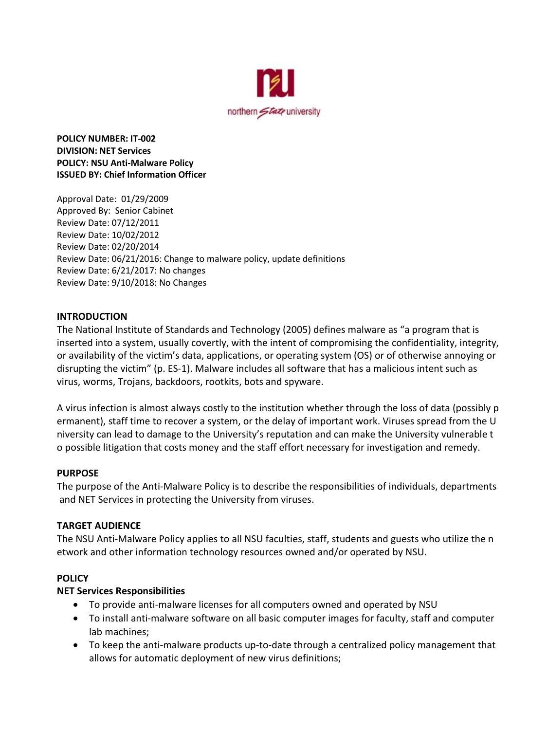

**POLICY NUMBER: IT‐002 DIVISION: NET Services POLICY: NSU Anti‐Malware Policy ISSUED BY: Chief Information Officer**

Approval Date: 01/29/2009 Approved By: Senior Cabinet Review Date: 07/12/2011 Review Date: 10/02/2012 Review Date: 02/20/2014 Review Date: 06/21/2016: Change to malware policy, update definitions Review Date: 6/21/2017: No changes Review Date: 9/10/2018: No Changes

## **INTRODUCTION**

The National Institute of Standards and Technology (2005) defines malware as "a program that is inserted into a system, usually covertly, with the intent of compromising the confidentiality, integrity, or availability of the victim's data, applications, or operating system (OS) or of otherwise annoying or disrupting the victim" (p. ES-1). Malware includes all software that has a malicious intent such as virus, worms, Trojans, backdoors, rootkits, bots and spyware.

A virus infection is almost always costly to the institution whether through the loss of data (possibly p ermanent), staff time to recover a system, or the delay of important work. Viruses spread from the U niversity can lead to damage to the University's reputation and can make the University vulnerable t o possible litigation that costs money and the staff effort necessary for investigation and remedy.

### **PURPOSE**

The purpose of the Anti-Malware Policy is to describe the responsibilities of individuals, departments and NET Services in protecting the University from viruses.

## **TARGET AUDIENCE**

The NSU Anti-Malware Policy applies to all NSU faculties, staff, students and guests who utilize the n etwork and other information technology resources owned and/or operated by NSU.

### **POLICY**

### **NET Services Responsibilities**

- To provide anti-malware licenses for all computers owned and operated by NSU
- To install anti-malware software on all basic computer images for faculty, staff and computer lab machines;
- To keep the anti-malware products up-to-date through a centralized policy management that allows for automatic deployment of new virus definitions;